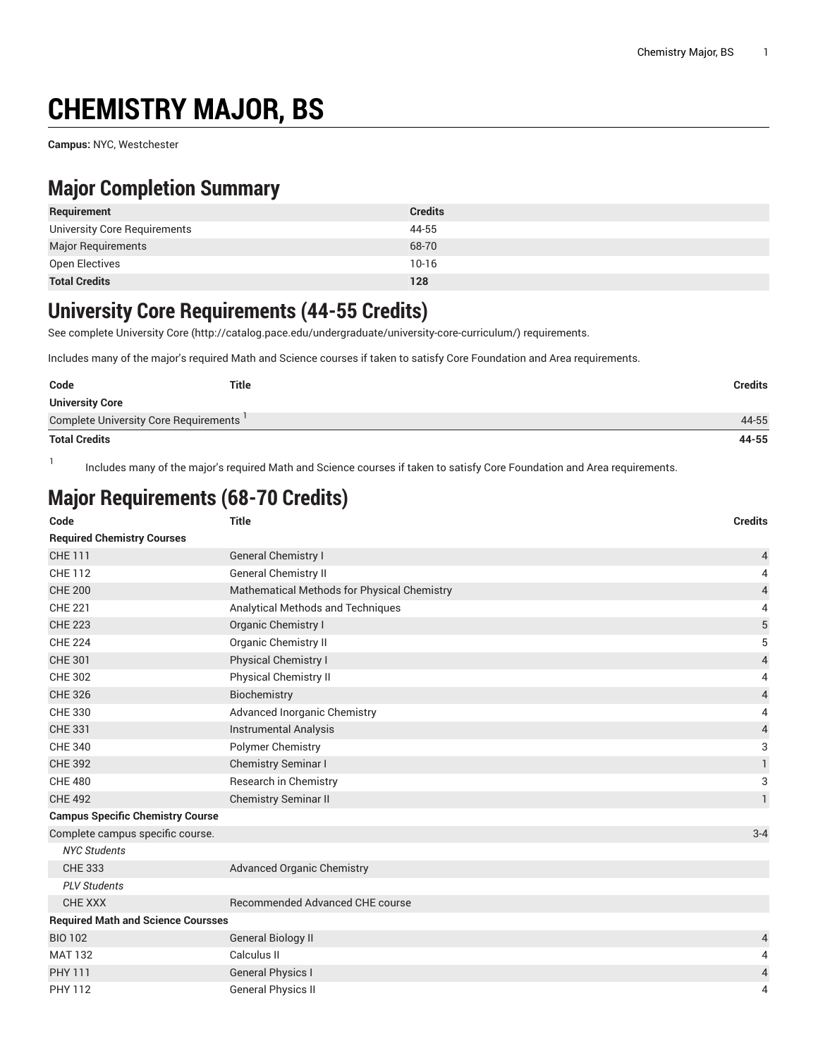# **CHEMISTRY MAJOR, BS**

**Campus:** NYC, Westchester

1

### **Major Completion Summary**

| Requirement                  | <b>Credits</b> |
|------------------------------|----------------|
| University Core Requirements | 44-55          |
| <b>Major Requirements</b>    | 68-70          |
| Open Electives               | $10-16$        |
| <b>Total Credits</b>         | 128            |

#### **University Core Requirements (44-55 Credits)**

See complete [University](http://catalog.pace.edu/undergraduate/university-core-curriculum/) Core (<http://catalog.pace.edu/undergraduate/university-core-curriculum/>) requirements.

Includes many of the major's required Math and Science courses if taken to satisfy Core Foundation and Area requirements.

| Code                                    | <b>Title</b> | Credits |
|-----------------------------------------|--------------|---------|
| <b>University Core</b>                  |              |         |
| Complete University Core Requirements ' |              | 44-55   |
| <b>Total Credits</b>                    |              | 44-55   |

Includes many of the major's required Math and Science courses if taken to satisfy Core Foundation and Area requirements.

## **Major Requirements (68-70 Credits)**

| Code                                      | <b>Title</b>                                | <b>Credits</b> |
|-------------------------------------------|---------------------------------------------|----------------|
| <b>Required Chemistry Courses</b>         |                                             |                |
| <b>CHE 111</b>                            | <b>General Chemistry I</b>                  | $\overline{4}$ |
| <b>CHE 112</b>                            | <b>General Chemistry II</b>                 | 4              |
| <b>CHE 200</b>                            | Mathematical Methods for Physical Chemistry | $\overline{4}$ |
| <b>CHE 221</b>                            | Analytical Methods and Techniques           | 4              |
| <b>CHE 223</b>                            | Organic Chemistry I                         | $\sqrt{5}$     |
| <b>CHE 224</b>                            | Organic Chemistry II                        | 5              |
| <b>CHE 301</b>                            | <b>Physical Chemistry I</b>                 | $\overline{4}$ |
| <b>CHE 302</b>                            | Physical Chemistry II                       | 4              |
| <b>CHE 326</b>                            | Biochemistry                                | $\overline{4}$ |
| <b>CHE 330</b>                            | Advanced Inorganic Chemistry                | 4              |
| <b>CHE 331</b>                            | <b>Instrumental Analysis</b>                | $\overline{4}$ |
| <b>CHE 340</b>                            | Polymer Chemistry                           | 3              |
| <b>CHE 392</b>                            | <b>Chemistry Seminar I</b>                  | $\mathbf{1}$   |
| <b>CHE 480</b>                            | Research in Chemistry                       | 3              |
| <b>CHE 492</b>                            | Chemistry Seminar II                        | $\mathbf{1}$   |
| <b>Campus Specific Chemistry Course</b>   |                                             |                |
| Complete campus specific course.          |                                             | $3 - 4$        |
| <b>NYC Students</b>                       |                                             |                |
| <b>CHE 333</b>                            | <b>Advanced Organic Chemistry</b>           |                |
| <b>PLV Students</b>                       |                                             |                |
| <b>CHE XXX</b>                            | <b>Recommended Advanced CHE course</b>      |                |
| <b>Required Math and Science Coursses</b> |                                             |                |
| <b>BIO 102</b>                            | <b>General Biology II</b>                   | $\overline{4}$ |
| <b>MAT 132</b>                            | Calculus II                                 | 4              |
| <b>PHY 111</b>                            | <b>General Physics I</b>                    | $\overline{4}$ |
| <b>PHY 112</b>                            | <b>General Physics II</b>                   | 4              |